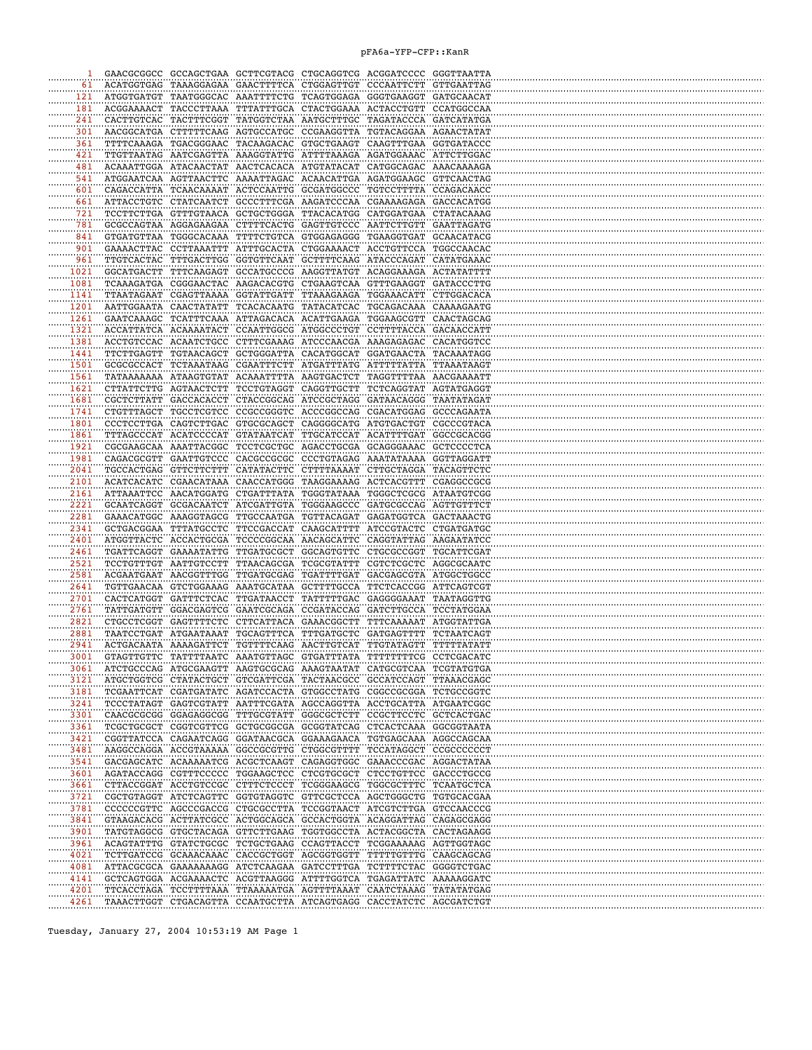## pFA6a-YFP-CFP::KanR

| 1                |                          |                                                |            | GAACGCGGCC GCCAGCTGAA GCTTCGTACG CTGCAGGTCG ACGGATCCCC GGGTTAATTA                                                                      |                       |                                     |  |
|------------------|--------------------------|------------------------------------------------|------------|----------------------------------------------------------------------------------------------------------------------------------------|-----------------------|-------------------------------------|--|
| 61               | ACATGGTGAG               | TAAAGGAGAA                                     |            | GAACTTTTCA CTGGAGTTGT                                                                                                                  | CCCAATTCTT            | GTTGAATTAG                          |  |
| 121              | ATGGTGATGT               | TAATGGGCAC                                     |            | AAATTTTCTG TCAGTGGAGA                                                                                                                  | GGGTGAAGGT            | GATGCAACAT                          |  |
| 181<br><br>241   | ACGGAAAACT               | TACCCTTAAA<br>CACTTGTCAC TACTTTCGGT            |            | TTTATTTGCA CTACTGGAAA ACTACCTGTT<br>TATGGTCTAA AATGCTTTGC TAGATACCCA GATCATATGA                                                        |                       | CCATGGCCAA                          |  |
| 301              |                          | AACGGCATGA CTTTTTCAAG                          |            | AGTGCCATGC CCGAAGGTTA TGTACAGGAA                                                                                                       |                       | AGAACTATAT                          |  |
| 361              |                          | TTTTCAAAGA TGACGGGAAC                          |            | TACAAGACAC GTGCTGAAGT CAAGTTTGAA GGTGATACCC                                                                                            |                       |                                     |  |
| 421              |                          | TTGTTAATAG AATCGAGTTA                          |            | AAAGGTATTG ATTTTAAAGA AGATGGAAAC                                                                                                       |                       | ATTCTTGGAC                          |  |
| 481              |                          | ACAAATTGGA ATACAACTAT                          |            | AACTCACACA ATGTATACAT CATGGCAGAC                                                                                                       |                       | AAACAAAAGA                          |  |
| 541              |                          | ATGGAATCAA AGTTAACTTC                          |            | AAAATTAGAC ACAACATTGA AGATGGAAGC                                                                                                       |                       | GTTCAACTAG                          |  |
| 601              |                          | CAGACCATTA TCAACAAAAT                          |            | ACTCCAATTG GCGATGGCCC TGTCCTTTTA CCAGACAACC                                                                                            |                       |                                     |  |
| 661              |                          | ATTACCTGTC CTATCAATCT                          |            | GCCCTTTCGA AAGATCCCAA CGAAAAGAGA GACCACATGG                                                                                            |                       |                                     |  |
| $721$            |                          | TCCTTCTTGA GTTTGTAACA                          |            | GCTGCTGGGA TTACACATGG CATGGATGAA CTATACAAAG                                                                                            |                       |                                     |  |
| 781<br>841       |                          | GCGCCAGTAA AGGAGAAGAA                          |            | CTTTTCACTG GAGTTGTCCC AATTCTTGTT                                                                                                       |                       | GAATTAGATG<br>GCAACATACG            |  |
| 901              |                          | GTGATGTTAA TGGGCACAAA<br>GAAAACTTAC CCTTAAATTT |            | TTTTCTGTCA GTGGAGAGGG TGAAGGTGAT<br>ATTTGCACTA CTGGAAAACT                                                                              | ACCTGTTCCA            | TGGCCAACAC                          |  |
| 961              | TTGTCACTAC               | TTTGACTTGG                                     | GGTGTTCAAT | GCTTTTCAAG                                                                                                                             | ATACCCAGAT            | CATATGAAAC                          |  |
| 1021             | GGCATGACTT               | TTTCAAGAGT                                     |            | GCCATGCCCG AAGGTTATGT                                                                                                                  | ACAGGAAAGA            | ACTATATTTT                          |  |
| 1081             | TCAAAGATGA               | CGGGAACTAC                                     |            | AAGACACGTG CTGAAGTCAA                                                                                                                  | GTTTGAAGGT            | GATACCCTTG                          |  |
| 1141             |                          | TTAATAGAAT CGAGTTAAAA                          |            | GGTATTGATT TTAAAGAAGA TGGAAACATT                                                                                                       |                       | CTTGGACACA                          |  |
| 1201             |                          | AATTGGAATA CAACTATATT                          |            | TCACACAATG TATACATCAC                                                                                                                  | TGCAGACAAA            | CAAAAGAATG                          |  |
| 1261             | GAATCAAAGC               | ТСАТТТСААА                                     |            | ATTAGACACA ACATTGAAGA TGGAAGCGTT CAACTAGCAG                                                                                            |                       |                                     |  |
| 1321             | ACCATTATCA               | АСААААТАСТ                                     |            | CCAATTGGCG ATGGCCCTGT                                                                                                                  | CCTTTTACCA            | GACAACCATT                          |  |
| 1381<br>1441     | ACCTGTCCAC<br>TTCTTGAGTT | ACAATCTGCC<br>TGTAACAGCT                       | GCTGGGATTA | CTTTCGAAAG ATCCCAACGA AAAGAGAGAC<br>CACATGGCAT                                                                                         | GGATGAACTA            | CACATGGTCC<br>TACAAATAGG            |  |
| 1501             |                          | GCGCGCCACT TCTAAATAAG                          |            | CGAATTTCTT ATGATTTATG                                                                                                                  | ΑΤΤΤΤΤΑΤΤΑ            | TTAAATAAGT                          |  |
| 1561             | TATAAAAAAA               | ATAAGTGTAT                                     |            | ACAAATTTTA AAGTGACTCT                                                                                                                  | TAGGTTTTAA            | AACGAAAATT                          |  |
| 1621             |                          | CTTATTCTTG AGTAACTCTT                          |            | TCCTGTAGGT CAGGTTGCTT                                                                                                                  | TCTCAGGTAT            | AGTATGAGGT                          |  |
| 1681             |                          | CGCTCTTATT GACCACACCT                          |            | CTACCGGCAG ATCCGCTAGG GATAACAGGG                                                                                                       |                       | TAATATAGAT                          |  |
| 1741             | CTGTTTAGCT               | TGCCTCGTCC                                     |            | CCGCCGGGTC ACCCGGCCAG CGACATGGAG                                                                                                       |                       | GCCCAGAATA                          |  |
| 1801             |                          | CCCTCCTTGA CAGTCTTGAC                          | GTGCGCAGCT | CAGGGGCATG ATGTGACTGT                                                                                                                  |                       | CGCCCGTACA                          |  |
| 1861             | TTTAGCCCAT               | ACATCCCCAT                                     | GTATAATCAT | TTGCATCCAT                                                                                                                             | ACATTTTGAT            | GGCCGCACGG                          |  |
| 1921<br>1981     | CGCGAAGCAA               | AAATTACGGC                                     |            | TCCTCGCTGC AGACCTGCGA                                                                                                                  | GCAGGGAAAC            | GCTCCCCTCA                          |  |
| 2041             | CAGACGCGTT               | GAATTGTCCC<br>TGCCACTGAG GTTCTTCTTT            |            | CACGCCGCGC CCCTGTAGAG<br>САТАТАСТТС СТТТТААААТ                                                                                         | AAATATAAAA            | GGTTAGGATT<br>CTTGCTAGGA TACAGTTCTC |  |
| 2101             |                          | ACATCACATC CGAACATAAA                          |            | CAACCATGGG TAAGGAAAAG                                                                                                                  | ACTCACGTTT            | CGAGGCCGCG                          |  |
| 2161             |                          | ATTAAATTCC AACATGGATG                          |            | CTGATTTATA TGGGTATAAA TGGGCTCGCG ATAATGTCGG                                                                                            |                       |                                     |  |
| 2221             |                          | GCAATCAGGT GCGACAATCT                          | ATCGATTGTA |                                                                                                                                        | TGGGAAGCCC GATGCGCCAG | AGTTGTTTCT                          |  |
| $\frac{1}{2281}$ |                          | GAAACATGGC AAAGGTAGCG                          | TTGCCAATGA | TGTTACAGAT                                                                                                                             |                       | GAGATGGTCA GACTAAACTG               |  |
| 2341             |                          | GCTGACGGAA TTTATGCCTC                          | TTCCGACCAT | CAAGCATTTT                                                                                                                             | ATCCGTACTC            | CTGATGATGC                          |  |
| 2401             |                          | ATGGTTACTC ACCACTGCGA                          |            | TCCCCGGCAA AACAGCATTC                                                                                                                  | CAGGTATTAG AAGAATATCC |                                     |  |
| 2461<br>2521     |                          | TGATTCAGGT GAAAATATTG<br>TCCTGTTTGT AATTGTCCTT |            | TTGATGCGCT GGCAGTGTTC CTGCGCCGGT<br>TTAACAGCGA TCGCGTATTT CGTCTCGCTC AGGCGCAATC                                                        |                       | TGCATTCGAT                          |  |
| 2581             |                          | ACGAATGAAT AACGGTTTGG                          |            | TTGATGCGAG TGATTTTGAT GACGAGCGTA ATGGCTGGCC                                                                                            |                       |                                     |  |
| 2641             |                          | TGTTGAACAA GTCTGGAAAG                          |            | AAATGCATAA GCTTTTGCCA                                                                                                                  | TTCTCACCGG ATTCAGTCGT |                                     |  |
| 2701             | CACTCATGGT               | GATTTCTCAC                                     |            | TTGATAACCT TATTTTTGAC                                                                                                                  | GAGGGGAAAT            | TAATAGGTTG                          |  |
| 2761             | TATTGATGTT               | <b>GGACGAGTCG</b>                              | GAATCGCAGA | CCGATACCAG                                                                                                                             | GATCTTGCCA            | TCCTATGGAA                          |  |
| 2821             | CTGCCTCGGT               | GAGTTTTCTC                                     |            | CTTCATTACA GAAACGGCTT                                                                                                                  | TTTCAAAAAT            | ATGGTATTGA                          |  |
| 2881             | TAATCCTGAT               | ATGAATAAAT                                     | TGCAGTTTCA | TTTGATGCTC                                                                                                                             | GATGAGTTTT            | TCTAATCAGT                          |  |
| 2941             |                          | ACTGACAATA AAAAGATTCT                          |            | TGTTTTCAAG AACTTGTCAT                                                                                                                  | TTGTATAGTT            | TTTTTATATT                          |  |
| 3001<br>3061     |                          | GTAGTTGTTC TATTTTAATC                          |            | AAATGTTAGC GTGATTTATA<br>ATCTGCCCAG ATGCGAAGTT AAGTGCGCAG AAAGTAATAT CATGCGTCAA TCGTATGTGA                                             | TTTTTTTTCG CCTCGACATC |                                     |  |
| 3121             |                          |                                                |            | ATGCTGGTCG CTATACTGCT GTCGATTCGA TACTAACGCC GCCATCCAGT TTAAACGAGC                                                                      |                       |                                     |  |
| 3181             |                          | TCGAATTCAT CGATGATATC                          |            | AGATCCACTA GTGGCCTATG CGGCCGCGGA TCTGCCGGTC                                                                                            |                       |                                     |  |
| 3241             | TCCCTATAGT               | GAGTCGTATT                                     |            | AATTTCGATA AGCCAGGTTA ACCTGCATTA ATGAATCGGC                                                                                            |                       |                                     |  |
| 3301             |                          | CAACGCGCGG GGAGAGGCGG                          |            | TTTGCGTATT GGGCGCTCTT CCGCTTCCTC GCTCACTGAC                                                                                            |                       |                                     |  |
| 3361             |                          |                                                |            | TCGCTGCGCT CGGTCGTTCG GCTGCGGCGA GCGGTATCAG CTCACTCAAA GGCGGTAATA                                                                      |                       |                                     |  |
| 3421             |                          |                                                |            | CGGTTATCCA CAGAATCAGG GGATAACGCA GGAAAGAACA TGTGAGCAAA AGGCCAGCAA                                                                      |                       |                                     |  |
| 3481<br>3541     |                          |                                                |            | AAGGCCAGGA ACCGTAAAAA GGCCGCGTTG CTGGCGTTTT TCCATAGGCT CCGCCCCCCT<br>GACGAGCATC ACAAAAATCG ACGCTCAAGT CAGAGGTGGC GAAACCCGAC AGGACTATAA |                       |                                     |  |
| 3601             |                          | AGATACCAGG CGTTTCCCCC                          |            | TGGAAGCTCC CTCGTGCGCT                                                                                                                  | CTCCTGTTCC GACCCTGCCG |                                     |  |
| 3661             | CTTACCGGAT               | ACCTGTCCGC                                     |            | CTTTCTCCCT TCGGGAAGCG                                                                                                                  | TGGCGCTTTC TCAATGCTCA |                                     |  |
| 3721             | CGCTGTAGGT               | ATCTCAGTTC                                     |            | GGTGTAGGTC GTTCGCTCCA AGCTGGGCTG TGTGCACGAA                                                                                            |                       |                                     |  |
| 3781             | CCCCCCGTTC               | AGCCCGACCG                                     |            | CTGCGCCTTA TCCGGTAACT                                                                                                                  | ATCGTCTTGA GTCCAACCCG |                                     |  |
| 3841             |                          | GTAAGACACG ACTTATCGCC                          |            | ACTGGCAGCA GCCACTGGTA ACAGGATTAG CAGAGCGAGG                                                                                            |                       |                                     |  |
| 3901             |                          |                                                |            | TATGTAGGCG GTGCTACAGA GTTCTTGAAG TGGTGGCCTA ACTACGGCTA CACTAGAAGG                                                                      |                       |                                     |  |
| 3961             |                          | ACAGTATTTG GTATCTGCGC                          |            | TCTGCTGAAG CCAGTTACCT TCGGAAAAAG AGTTGGTAGC                                                                                            |                       |                                     |  |
| 4021<br>4081     |                          | TCTTGATCCG GCAAACAAAC<br>ATTACGCGCA GAAAAAAAGG |            | CACCGCTGGT AGCGGTGGTT<br>ATCTCAAGAA GATCCTTTGA TCTTTTCTAC GGGGTCTGAC                                                                   |                       | TTTTTGTTTG CAAGCAGCAG               |  |
| 4141             |                          | GCTCAGTGGA ACGAAAACTC                          |            | ACGTTAAGGG ATTTTGGTCA TGAGATTATC                                                                                                       |                       | AAAAAGGATC                          |  |
| 4201             |                          | TTCACCTAGA TCCTTTTAAA                          |            | TTAAAAATGA AGTTTTAAAT CAATCTAAAG TATATATGAG                                                                                            |                       |                                     |  |
| 4261             |                          |                                                |            | TAAACTTGGT CTGACAGTTA CCAATGCTTA ATCAGTGAGG CACCTATCTC AGCGATCTGT                                                                      |                       |                                     |  |
|                  |                          |                                                |            |                                                                                                                                        |                       |                                     |  |

Tuesday, January 27, 2004 10:53:19 AM Page 1